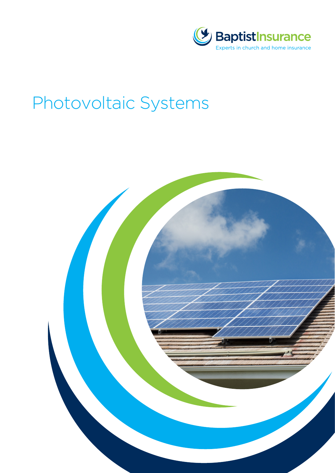

# Photovoltaic Systems

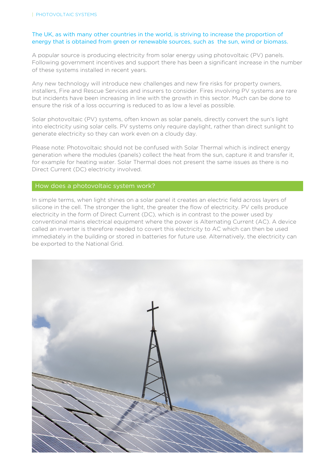# The UK, as with many other countries in the world, is striving to increase the proportion of energy that is obtained from green or renewable sources, such as the sun, wind or biomass.

A popular source is producing electricity from solar energy using photovoltaic (PV) panels. Following government incentives and support there has been a significant increase in the number of these systems installed in recent years.

Any new technology will introduce new challenges and new fire risks for property owners, installers, Fire and Rescue Services and insurers to consider. Fires involving PV systems are rare but incidents have been increasing in line with the growth in this sector. Much can be done to ensure the risk of a loss occurring is reduced to as low a level as possible.

Solar photovoltaic (PV) systems, often known as solar panels, directly convert the sun's light into electricity using solar cells. PV systems only require daylight, rather than direct sunlight to generate electricity so they can work even on a cloudy day.

Please note: Photovoltaic should not be confused with Solar Thermal which is indirect energy generation where the modules (panels) collect the heat from the sun, capture it and transfer it, for example for heating water. Solar Thermal does not present the same issues as there is no Direct Current (DC) electricity involved.

## How does a photovoltaic system work?

In simple terms, when light shines on a solar panel it creates an electric field across layers of silicone in the cell. The stronger the light, the greater the flow of electricity. PV cells produce electricity in the form of Direct Current (DC), which is in contrast to the power used by conventional mains electrical equipment where the power is Alternating Current (AC). A device called an inverter is therefore needed to covert this electricity to AC which can then be used immediately in the building or stored in batteries for future use. Alternatively, the electricity can be exported to the National Grid.

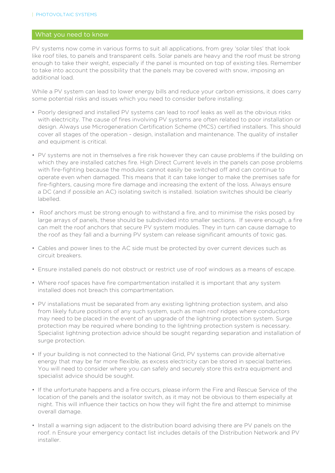## What you need to know

PV systems now come in various forms to suit all applications, from grey 'solar tiles' that look like roof tiles, to panels and transparent cells. Solar panels are heavy and the roof must be strong enough to take their weight, especially if the panel is mounted on top of existing tiles. Remember to take into account the possibility that the panels may be covered with snow, imposing an additional load.

While a PV system can lead to lower energy bills and reduce your carbon emissions, it does carry some potential risks and issues which you need to consider before installing:

- Poorly designed and installed PV systems can lead to roof leaks as well as the obvious risks with electricity. The cause of fires involving PV systems are often related to poor installation or design. Always use Microgeneration Certification Scheme (MCS) certified installers. This should cover all stages of the operation - design, installation and maintenance. The quality of installer and equipment is critical.
- PV systems are not in themselves a fire risk however they can cause problems if the building on which they are installed catches fire. High Direct Current levels in the panels can pose problems with fire-fighting because the modules cannot easily be switched off and can continue to operate even when damaged. This means that it can take longer to make the premises safe for fire-fighters, causing more fire damage and increasing the extent of the loss. Always ensure a DC (and if possible an AC) isolating switch is installed. Isolation switches should be clearly labelled.
- Roof anchors must be strong enough to withstand a fire, and to minimise the risks posed by large arrays of panels, these should be subdivided into smaller sections. If severe enough, a fire can melt the roof anchors that secure PV system modules. They in turn can cause damage to the roof as they fall and a burning PV system can release significant amounts of toxic gas.
- Cables and power lines to the AC side must be protected by over current devices such as circuit breakers.
- Ensure installed panels do not obstruct or restrict use of roof windows as a means of escape.
- Where roof spaces have fire compartmentation installed it is important that any system installed does not breach this compartmentation.
- PV installations must be separated from any existing lightning protection system, and also from likely future positions of any such system, such as main roof ridges where conductors may need to be placed in the event of an upgrade of the lightning protection system. Surge protection may be required where bonding to the lightning protection system is necessary. Specialist lightning protection advice should be sought regarding separation and installation of surge protection.
- If your building is not connected to the National Grid, PV systems can provide alternative energy that may be far more flexible, as excess electricity can be stored in special batteries. You will need to consider where you can safely and securely store this extra equipment and specialist advice should be sought.
- If the unfortunate happens and a fire occurs, please inform the Fire and Rescue Service of the location of the panels and the isolator switch, as it may not be obvious to them especially at night. This will influence their tactics on how they will fight the fire and attempt to minimise overall damage.
- Install a warning sign adjacent to the distribution board advising there are PV panels on the roof. n Ensure your emergency contact list includes details of the Distribution Network and PV installer.